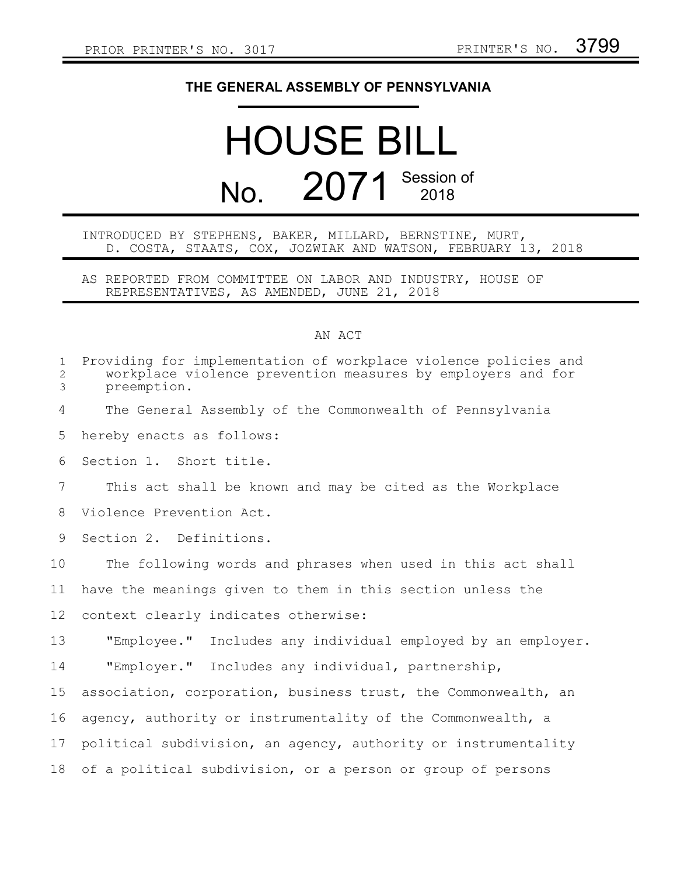## **THE GENERAL ASSEMBLY OF PENNSYLVANIA**

## HOUSE BILL No. 2071 Session of

## INTRODUCED BY STEPHENS, BAKER, MILLARD, BERNSTINE, MURT, D. COSTA, STAATS, COX, JOZWIAK AND WATSON, FEBRUARY 13, 2018

AS REPORTED FROM COMMITTEE ON LABOR AND INDUSTRY, HOUSE OF REPRESENTATIVES, AS AMENDED, JUNE 21, 2018

## AN ACT

| $\mathbf{1}$<br>$\overline{2}$<br>3 | Providing for implementation of workplace violence policies and<br>workplace violence prevention measures by employers and for<br>preemption. |
|-------------------------------------|-----------------------------------------------------------------------------------------------------------------------------------------------|
| 4                                   | The General Assembly of the Commonwealth of Pennsylvania                                                                                      |
| 5                                   | hereby enacts as follows:                                                                                                                     |
| 6                                   | Section 1. Short title.                                                                                                                       |
| 7                                   | This act shall be known and may be cited as the Workplace                                                                                     |
| 8                                   | Violence Prevention Act.                                                                                                                      |
| 9                                   | Section 2. Definitions.                                                                                                                       |
| 10                                  | The following words and phrases when used in this act shall                                                                                   |
| 11                                  | have the meanings given to them in this section unless the                                                                                    |
| 12                                  | context clearly indicates otherwise:                                                                                                          |
| 13                                  | "Employee."<br>Includes any individual employed by an employer.                                                                               |
| 14                                  | "Employer." Includes any individual, partnership,                                                                                             |
| 15                                  | association, corporation, business trust, the Commonwealth, an                                                                                |
| 16                                  | agency, authority or instrumentality of the Commonwealth, a                                                                                   |
| 17                                  | political subdivision, an agency, authority or instrumentality                                                                                |
| 18                                  | of a political subdivision, or a person or group of persons                                                                                   |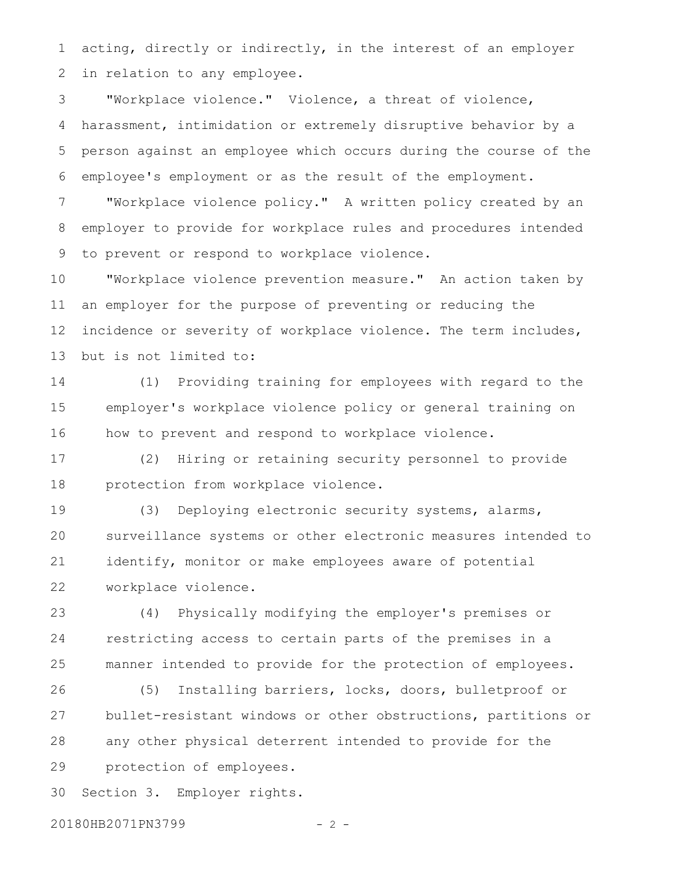acting, directly or indirectly, in the interest of an employer in relation to any employee. 1 2

"Workplace violence." Violence, a threat of violence, harassment, intimidation or extremely disruptive behavior by a person against an employee which occurs during the course of the employee's employment or as the result of the employment. 3 4 5 6

"Workplace violence policy." A written policy created by an employer to provide for workplace rules and procedures intended to prevent or respond to workplace violence. 7 8 9

"Workplace violence prevention measure." An action taken by an employer for the purpose of preventing or reducing the incidence or severity of workplace violence. The term includes, but is not limited to: 10 11 12 13

(1) Providing training for employees with regard to the employer's workplace violence policy or general training on how to prevent and respond to workplace violence. 14 15 16

(2) Hiring or retaining security personnel to provide protection from workplace violence. 17 18

(3) Deploying electronic security systems, alarms, surveillance systems or other electronic measures intended to identify, monitor or make employees aware of potential workplace violence. 19 20 21 22

(4) Physically modifying the employer's premises or restricting access to certain parts of the premises in a manner intended to provide for the protection of employees. 23 24 25

(5) Installing barriers, locks, doors, bulletproof or bullet-resistant windows or other obstructions, partitions or any other physical deterrent intended to provide for the protection of employees. 26 27 28 29

Section 3. Employer rights. 30

20180HB2071PN3799 - 2 -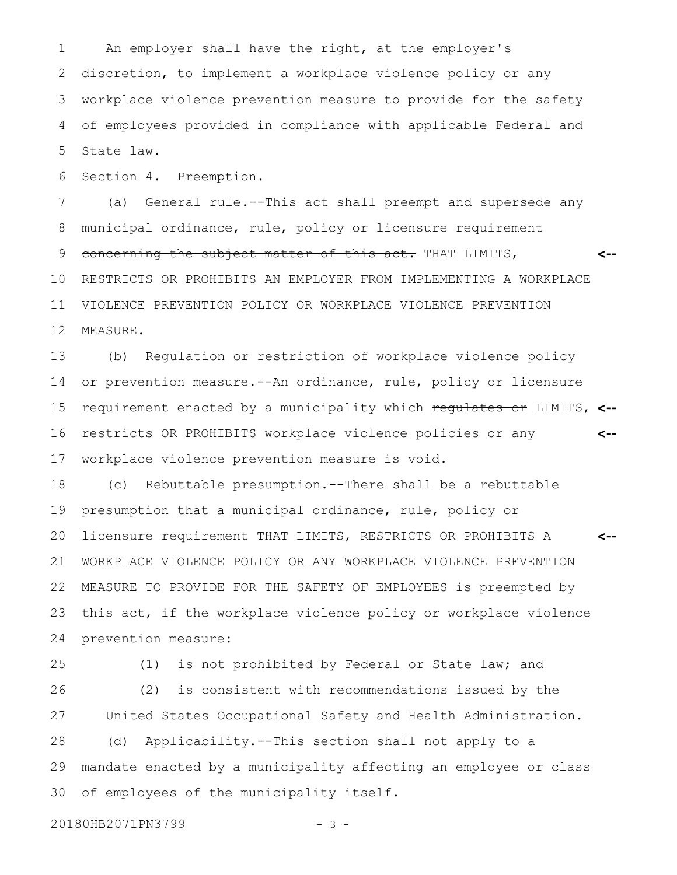An employer shall have the right, at the employer's discretion, to implement a workplace violence policy or any workplace violence prevention measure to provide for the safety of employees provided in compliance with applicable Federal and State law. 1 2 3 4 5

Section 4. Preemption. 6

(a) General rule.--This act shall preempt and supersede any municipal ordinance, rule, policy or licensure requirement concerning the subject matter of this act. THAT LIMITS, RESTRICTS OR PROHIBITS AN EMPLOYER FROM IMPLEMENTING A WORKPLACE VIOLENCE PREVENTION POLICY OR WORKPLACE VIOLENCE PREVENTION MEASURE. **<--** 7 8 9 10 11 12

(b) Regulation or restriction of workplace violence policy or prevention measure.--An ordinance, rule, policy or licensure requirement enacted by a municipality which regulates or LIMITS, **<-** restricts OR PROHIBITS workplace violence policies or any workplace violence prevention measure is void. **<--** 13 14 15 16 17

(c) Rebuttable presumption.--There shall be a rebuttable presumption that a municipal ordinance, rule, policy or licensure requirement THAT LIMITS, RESTRICTS OR PROHIBITS A WORKPLACE VIOLENCE POLICY OR ANY WORKPLACE VIOLENCE PREVENTION MEASURE TO PROVIDE FOR THE SAFETY OF EMPLOYEES is preempted by this act, if the workplace violence policy or workplace violence prevention measure: **<--** 18 19 20 21 22 23 24

25

26

27

28

29

30

(1) is not prohibited by Federal or State law; and (2) is consistent with recommendations issued by the United States Occupational Safety and Health Administration. (d) Applicability.--This section shall not apply to a mandate enacted by a municipality affecting an employee or class of employees of the municipality itself.

20180HB2071PN3799 - 3 -